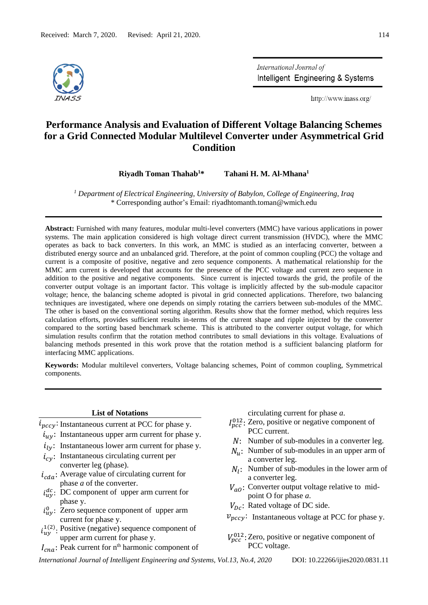

International Journal of Intelligent Engineering & Systems

http://www.inass.org/

# **Performance Analysis and Evaluation of Different Voltage Balancing Schemes for a Grid Connected Modular Multilevel Converter under Asymmetrical Grid Condition**

**Riyadh Toman Thahab<sup>1</sup>\* Tahani H. M. Al-Mhana<sup>1</sup>**

*<sup>1</sup> Department of Electrical Engineering, University of Babylon, College of Engineering, Iraq*  \* Corresponding author's Email: riyadhtomanth.toman@wmich.edu

**Abstract:** Furnished with many features, modular multi-level converters (MMC) have various applications in power systems. The main application considered is high voltage direct current transmission (HVDC), where the MMC operates as back to back converters. In this work, an MMC is studied as an interfacing converter, between a distributed energy source and an unbalanced grid. Therefore, at the point of common coupling (PCC) the voltage and current is a composite of positive, negative and zero sequence components. A mathematical relationship for the MMC arm current is developed that accounts for the presence of the PCC voltage and current zero sequence in addition to the positive and negative components. Since current is injected towards the grid, the profile of the converter output voltage is an important factor. This voltage is implicitly affected by the sub-module capacitor voltage; hence, the balancing scheme adopted is pivotal in grid connected applications. Therefore, two balancing techniques are investigated, where one depends on simply rotating the carriers between sub-modules of the MMC. The other is based on the conventional sorting algorithm. Results show that the former method, which requires less calculation efforts, provides sufficient results in-terms of the current shape and ripple injected by the converter compared to the sorting based benchmark scheme. This is attributed to the converter output voltage, for which simulation results confirm that the rotation method contributes to small deviations in this voltage. Evaluations of balancing methods presented in this work prove that the rotation method is a sufficient balancing platform for interfacing MMC applications.

**Keywords:** Modular multilevel converters, Voltage balancing schemes, Point of common coupling, Symmetrical components.

#### **List of Notations**

- $i_{pccy}$ : Instantaneous current at PCC for phase y.
- $i_{uv}$ : Instantaneous upper arm current for phase y.
- $i_{1y}$ : Instantaneous lower arm current for phase y.
- $i_{cv}$ : Instantaneous circulating current per converter leg (phase).
- $i_{cda}$ : Average value of circulating current for phase *a* of the converter.
- $i_{uy}^{dc}$ : DC component of upper arm current for phase y.
- $i_{uy}^0$ : Zero sequence component of upper arm current for phase y.
- $i_{uy}^{1(2)}$ . Positive (negative) sequence component of upper arm current for phase y.
- $I_{cna}$ : Peak current for n<sup>th</sup> harmonic component of

circulating current for phase *a*.

- $I_{pcc}^{012}$ : Zero, positive or negative component of PCC current.
- N: Number of sub-modules in a converter leg.
- $N_{\nu}$ : Number of sub-modules in an upper arm of a converter leg.
- $N_l$ : Number of sub-modules in the lower arm of a converter leg.
- $V_{q0}$ : Converter output voltage relative to midpoint O for phase *a*.
- $V_{Dc}$ : Rated voltage of DC side.
- $v_{pccy}$ : Instantaneous voltage at PCC for phase y.
- $V_{pcc}^{012}$ : Zero, positive or negative component of PCC voltage.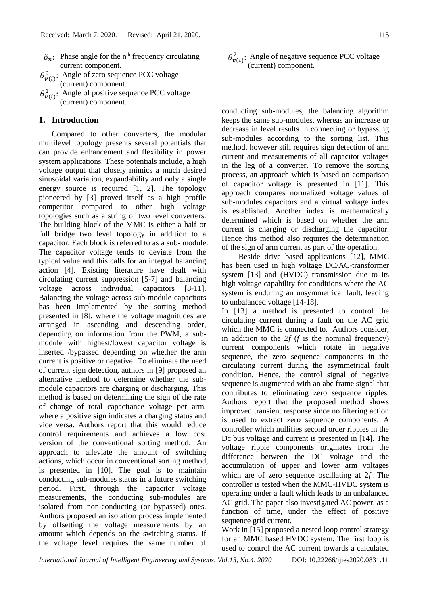- $\delta_n$ : Phase angle for the n<sup>th</sup> frequency circulating current component.
- $\theta_{\nu(i)}^0$ : Angle of zero sequence PCC voltage (current) component.
- $\theta_{v(i)}^1$ : Angle of positive sequence PCC voltage (current) component.

### **1. Introduction**

Compared to other converters, the modular multilevel topology presents several potentials that can provide enhancement and flexibility in power system applications. These potentials include, a high voltage output that closely mimics a much desired sinusoidal variation, expandability and only a single energy source is required [1, 2]. The topology pioneered by [3] proved itself as a high profile competitor compared to other high voltage topologies such as a string of two level converters. The building block of the MMC is either a half or full bridge two level topology in addition to a capacitor. Each block is referred to as a sub- module. The capacitor voltage tends to deviate from the typical value and this calls for an integral balancing action [4]. Existing literature have dealt with circulating current suppression [5-7] and balancing voltage across individual capacitors [8-11]. Balancing the voltage across sub-module capacitors has been implemented by the sorting method presented in [8], where the voltage magnitudes are arranged in ascending and descending order, depending on information from the PWM, a submodule with highest/lowest capacitor voltage is inserted /bypassed depending on whether the arm current is positive or negative. To eliminate the need of current sign detection, authors in [9] proposed an alternative method to determine whether the submodule capacitors are charging or discharging. This method is based on determining the sign of the rate of change of total capacitance voltage per arm, where a positive sign indicates a charging status and vice versa. Authors report that this would reduce control requirements and achieves a low cost version of the conventional sorting method. An approach to alleviate the amount of switching actions, which occur in conventional sorting method, is presented in [10]. The goal is to maintain conducting sub-modules status in a future switching period. First, through the capacitor voltage measurements, the conducting sub-modules are isolated from non-conducting (or bypassed) ones. Authors proposed an isolation process implemented by offsetting the voltage measurements by an amount which depends on the switching status. If the voltage level requires the same number of

 $\theta_{\nu(i)}^2$ : Angle of negative sequence PCC voltage (current) component.

conducting sub-modules, the balancing algorithm keeps the same sub-modules, whereas an increase or decrease in level results in connecting or bypassing sub-modules according to the sorting list. This method, however still requires sign detection of arm current and measurements of all capacitor voltages in the leg of a converter. To remove the sorting process, an approach which is based on comparison of capacitor voltage is presented in [11]. This approach compares normalized voltage values of sub-modules capacitors and a virtual voltage index is established. Another index is mathematically determined which is based on whether the arm current is charging or discharging the capacitor. Hence this method also requires the determination of the sign of arm current as part of the operation.

Beside drive based applications [12], MMC has been used in high voltage DC/AC-transformer system [13] and (HVDC) transmission due to its high voltage capability for conditions where the AC system is enduring an unsymmetrical fault, leading to unbalanced voltage [14-18].

In [13] a method is presented to control the circulating current during a fault on the AC grid which the MMC is connected to. Authors consider, in addition to the *2f* (*f* is the nominal frequency) current components which rotate in negative sequence, the zero sequence components in the circulating current during the asymmetrical fault condition. Hence, the control signal of negative sequence is augmented with an abc frame signal that contributes to eliminating zero sequence ripples. Authors report that the proposed method shows improved transient response since no filtering action is used to extract zero sequence components. A controller which nullifies second order ripples in the Dc bus voltage and current is presented in [14]. The voltage ripple components originates from the difference between the DC voltage and the accumulation of upper and lower arm voltages which are of zero sequence oscillating at  $2f$ . The controller is tested when the MMC-HVDC system is operating under a fault which leads to an unbalanced AC grid. The paper also investigated AC power, as a function of time, under the effect of positive sequence grid current.

Work in [15] proposed a nested loop control strategy for an MMC based HVDC system. The first loop is used to control the AC current towards a calculated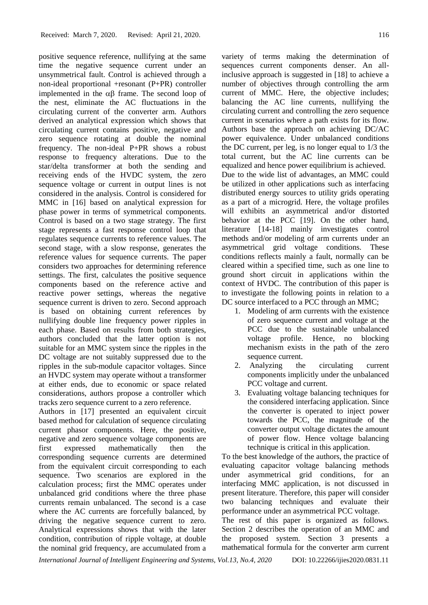positive sequence reference, nullifying at the same time the negative sequence current under an unsymmetrical fault. Control is achieved through a non-ideal proportional +resonant (P+PR) controller implemented in the  $\alpha\beta$  frame. The second loop of the nest, eliminate the AC fluctuations in the circulating current of the converter arm. Authors derived an analytical expression which shows that circulating current contains positive, negative and zero sequence rotating at double the nominal frequency. The non-ideal P+PR shows a robust response to frequency alterations. Due to the star/delta transformer at both the sending and receiving ends of the HVDC system, the zero sequence voltage or current in output lines is not considered in the analysis. Control is considered for MMC in [16] based on analytical expression for phase power in terms of symmetrical components. Control is based on a two stage strategy. The first stage represents a fast response control loop that regulates sequence currents to reference values. The second stage, with a slow response, generates the reference values for sequence currents. The paper considers two approaches for determining reference settings. The first, calculates the positive sequence components based on the reference active and reactive power settings, whereas the negative sequence current is driven to zero. Second approach is based on obtaining current references by nullifying double line frequency power ripples in each phase. Based on results from both strategies, authors concluded that the latter option is not suitable for an MMC system since the ripples in the DC voltage are not suitably suppressed due to the ripples in the sub-module capacitor voltages. Since an HVDC system may operate without a transformer at either ends, due to economic or space related considerations, authors propose a controller which tracks zero sequence current to a zero reference.

Authors in [17] presented an equivalent circuit based method for calculation of sequence circulating current phasor components. Here, the positive, negative and zero sequence voltage components are first expressed mathematically then the corresponding sequence currents are determined from the equivalent circuit corresponding to each sequence. Two scenarios are explored in the calculation process; first the MMC operates under unbalanced grid conditions where the three phase currents remain unbalanced. The second is a case where the AC currents are forcefully balanced, by driving the negative sequence current to zero. Analytical expressions shows that with the later condition, contribution of ripple voltage, at double the nominal grid frequency, are accumulated from a variety of terms making the determination of sequences current components denser. An allinclusive approach is suggested in [18] to achieve a number of objectives through controlling the arm current of MMC. Here, the objective includes; balancing the AC line currents, nullifying the circulating current and controlling the zero sequence current in scenarios where a path exists for its flow. Authors base the approach on achieving DC/AC power equivalence. Under unbalanced conditions the DC current, per leg, is no longer equal to 1/3 the total current, but the AC line currents can be equalized and hence power equilibrium is achieved. Due to the wide list of advantages, an MMC could be utilized in other applications such as interfacing distributed energy sources to utility grids operating as a part of a microgrid. Here, the voltage profiles will exhibits an asymmetrical and/or distorted behavior at the PCC [19]. On the other hand, literature [14-18] mainly investigates control methods and/or modeling of arm currents under an asymmetrical grid voltage conditions. These conditions reflects mainly a fault, normally can be cleared within a specified time, such as one line to ground short circuit in applications within the context of HVDC. The contribution of this paper is to investigate the following points in relation to a DC source interfaced to a PCC through an MMC;

- 1. Modeling of arm currents with the existence of zero sequence current and voltage at the PCC due to the sustainable unbalanced voltage profile. Hence, no blocking mechanism exists in the path of the zero sequence current.
- 2. Analyzing the circulating current components implicitly under the unbalanced PCC voltage and current.
- 3. Evaluating voltage balancing techniques for the considered interfacing application. Since the converter is operated to inject power towards the PCC, the magnitude of the converter output voltage dictates the amount of power flow. Hence voltage balancing technique is critical in this application.

To the best knowledge of the authors, the practice of evaluating capacitor voltage balancing methods under asymmetrical grid conditions, for an interfacing MMC application, is not discussed in present literature. Therefore, this paper will consider two balancing techniques and evaluate their performance under an asymmetrical PCC voltage.

The rest of this paper is organized as follows. Section 2 describes the operation of an MMC and the proposed system. Section 3 presents a mathematical formula for the converter arm current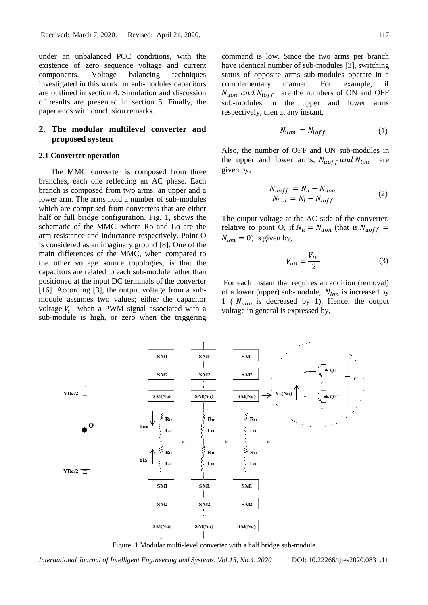under an unbalanced PCC conditions, with the existence of zero sequence voltage and current components. Voltage balancing techniques investigated in this work for sub-modules capacitors are outlined in section 4. Simulation and discussion of results are presented in section 5. Finally, the paper ends with conclusion remarks.

# **2. The modular multilevel converter and proposed system**

### **2.1 Converter operation**

The MMC converter is composed from three branches, each one reflecting an AC phase. Each branch is composed from two arms; an upper and a lower arm. The arms hold a number of sub-modules which are comprised from converters that are either half or full bridge configuration. Fig. 1, shows the schematic of the MMC, where Ro and Lo are the arm resistance and inductance respectively. Point O is considered as an imaginary ground [8]. One of the main differences of the MMC, when compared to the other voltage source topologies, is that the capacitors are related to each sub-module rather than positioned at the input DC terminals of the converter [16]. According [3], the output voltage from a submodule assumes two values; either the capacitor voltage, $V_c$ , when a PWM signal associated with a sub-module is high, or zero when the triggering

command is low. Since the two arms per branch have identical number of sub-modules [3], switching status of opposite arms sub-modules operate in a complementary manner. For example, if  $N_{uon}$  and  $N_{loff}$  are the numbers of ON and OFF sub-modules in the upper and lower arms respectively, then at any instant,

$$
N_{uon} = N_{loff} \tag{1}
$$

Also, the number of OFF and ON sub-modules in the upper and lower arms,  $N_{\text{uoff}}$  and  $N_{\text{lon}}$ given by,

$$
N_{uoff} = N_u - N_{uon}
$$
  
\n
$$
N_{lon} = N_l - N_{loff}
$$
\n(2)

The output voltage at the AC side of the converter, relative to point O, if  $N_u = N_{uon}$  (that is  $N_{uoff}$  =  $N_{lon} = 0$ ) is given by,

$$
V_{ao} = \frac{V_{DC}}{2} \tag{3}
$$

For each instant that requires an addition (removal) of a lower (upper) sub-module,  $N_{lon}$  is increased by  $1$  (  $N_{uon}$  is decreased by 1). Hence, the output voltage in general is expressed by,



Figure. 1 Modular multi-level converter with a half bridge sub-module

*International Journal of Intelligent Engineering and Systems, Vol.13, No.4, 2020* DOI: 10.22266/ijies2020.0831.11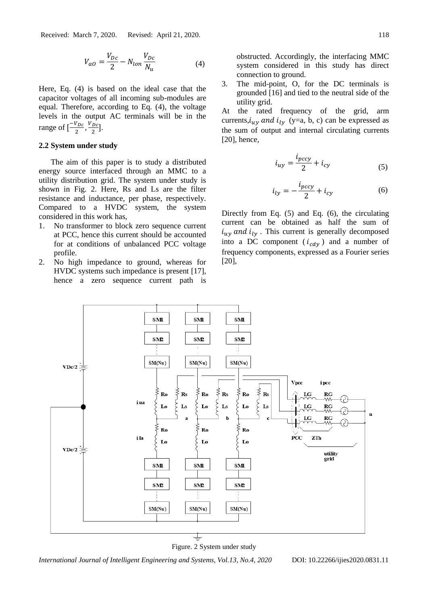$$
V_{ao} = \frac{V_{Dc}}{2} - N_{lon} \frac{V_{Dc}}{N_u}
$$
 (4)

Here, Eq. (4) is based on the ideal case that the capacitor voltages of all incoming sub-modules are equal. Therefore, according to Eq. (4), the voltage levels in the output AC terminals will be in the range of  $\left[\frac{-V_{DC}}{2}\right]$  $\frac{V_{DC}}{2}$ ,  $\frac{V_{DC}}{2}$  $\frac{Dc}{2}$ ].

#### **2.2 System under study**

The aim of this paper is to study a distributed energy source interfaced through an MMC to a utility distribution grid. The system under study is shown in Fig. 2. Here, Rs and Ls are the filter resistance and inductance, per phase, respectively. Compared to a HVDC system, the system considered in this work has,

- 1. No transformer to block zero sequence current at PCC, hence this current should be accounted for at conditions of unbalanced PCC voltage profile.
- 2. No high impedance to ground, whereas for HVDC systems such impedance is present [17], hence a zero sequence current path is

obstructed. Accordingly, the interfacing MMC system considered in this study has direct connection to ground.

3. The mid-point, O, for the DC terminals is grounded [16] and tied to the neutral side of the utility grid.

At the rated frequency of the grid, arm currents,  $i_{uv}$  and  $i_{lv}$  (y=a, b, c) can be expressed as the sum of output and internal circulating currents [20], hence,

$$
i_{uy} = \frac{i_{pccy}}{2} + i_{cy}
$$
 (5)

$$
i_{ly} = -\frac{i_{pccy}}{2} + i_{cy} \tag{6}
$$

Directly from Eq. (5) and Eq. (6), the circulating current can be obtained as half the sum of  $i_{uy}$  and  $i_{ly}$ . This current is generally decomposed into a DC component  $(i_{cdy})$  and a number of frequency components, expressed as a Fourier series [20],



Figure. 2 System under study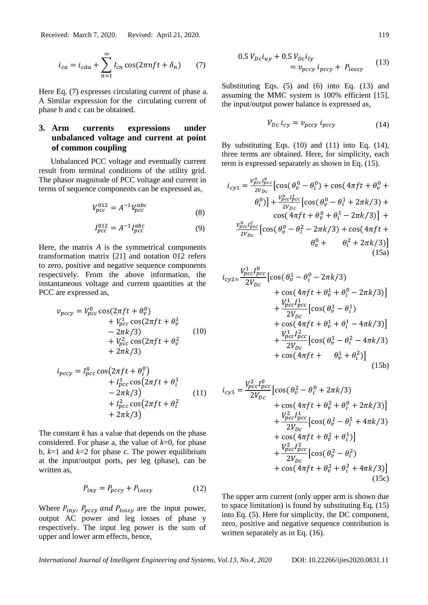Received: March 7, 2020. Revised: April 21, 2020. 119

$$
i_{ca} = i_{cda} + \sum_{n=1}^{\infty} I_{cn} \cos(2\pi n f t + \delta_n) \qquad (7)
$$

Here Eq. (7) expresses circulating current of phase a. A Similar expression for the circulating current of phase b and c can be obtained.

# **3. Arm currents expressions under unbalanced voltage and current at point of common coupling**

Unbalanced PCC voltage and eventually current result from terminal conditions of the utility grid. The phasor magnitude of PCC voltage and current in terms of sequence components can be expressed as,

$$
V_{pcc}^{012} = A^{-1} V_{pcc}^{abc}
$$
 (8)

$$
I_{pcc}^{012} = A^{-1} I_{pcc}^{abc}
$$
 (9)

Here, the matrix *A* is the symmetrical components transformation matrix [21] and notation 012 refers to zero, positive and negative sequence components respectively. From the above information, the instantaneous voltage and current quantities at the PCC are expressed as,

$$
v_{pccy} = V_{pcc}^{0} \cos(2\pi ft + \theta_v^0)
$$
  
+ 
$$
V_{pcc}^{1} \cos(2\pi ft + \theta_v^1
$$
  
- 
$$
2\pi k/3
$$
)  
+ 
$$
V_{pcc}^{2} \cos(2\pi ft + \theta_v^2
$$
  
+ 
$$
2\pi k/3
$$
) (10)

$$
i_{pccy} = I_{pcc}^{0} \cos\left(2\pi ft + \theta_{i}^{0}\right) + I_{pcc}^{1} \cos\left(2\pi ft + \theta_{i}^{1} - 2\pi k/3\right) + I_{pcc}^{2} \cos\left(2\pi ft + \theta_{i}^{2} + 2\pi k/3\right)
$$
(11)

The constant *k* has a value that depends on the phase considered. For phase a, the value of *k*=0, for phase b,  $k=1$  and  $k=2$  for phase c. The power equilibrium at the input/output ports, per leg (phase), can be written as.

$$
P_{iny} = P_{pccy} + P_{lossy} \tag{12}
$$

Where  $P_{inv}$ ,  $P_{pccy}$  and  $P_{lossy}$  are the input power, output AC power and leg losses of phase y respectively. The input leg power is the sum of upper and lower arm effects, hence,

$$
0.5 V_{Dc}i_{uy} + 0.5 V_{Dc}i_{ly}
$$
  
=  $v_{pccy}i_{pccy} + P_{lossy}$  (13)

Substituting Eqs. (5) and (6) into Eq. (13) and assuming the MMC system is 100% efficient [15], the input/output power balance is expressed as,

$$
V_{Dc} i_{cy} = v_{pccy} i_{pccy}
$$
 (14)

By substituting Eqs. (10) and (11) into Eq. (14), three terms are obtained. Here, for simplicity, each term is expressed separately as shown in Eq. (15).

$$
i_{cyl} = \frac{v_{pcc}^{0}l_{pcc}^{0}}{2V_{Dc}} \left[ \cos(\theta_{v}^{0} - \theta_{i}^{0}) + \cos(4\pi ft + \theta_{v}^{0} + \theta_{i}^{0}) \right] + \frac{v_{pcc}^{0}l_{pcc}^{1}}{2V_{Dc}} \left[ \cos(\theta_{v}^{0} - \theta_{i}^{1} + 2\pi k/3) + \cos(4\pi ft + \theta_{v}^{0} + \theta_{i}^{1} - 2\pi k/3) \right] + \frac{v_{pcc}^{0}l_{pcc}^{2}}{2V_{Dc}} \left[ \cos(\theta_{v}^{0} - \theta_{i}^{2} - 2\pi k/3) + \cos(4\pi ft + \theta_{v}^{0} + \theta_{i}^{2} + 2\pi k/3) \right]
$$
\n(15a)

$$
i_{cyz} = \frac{V_{pcc}^1 l_{pcc}^0}{2V_{Dc}} \left[ \cos(\theta_v^1 - \theta_i^0 - 2\pi k/3) + \cos(4\pi ft + \theta_v^1 + \theta_i^0 - 2\pi k/3) \right] + \frac{V_{pcc}^1 l_{pcc}^1}{2V_{Dc}} \left[ \cos(\theta_v^1 - \theta_i^1) + \cos(4\pi ft + \theta_v^1 + \theta_i^1 - 4\pi k/3) \right] + \frac{V_{pcc}^1 l_{pcc}^2}{2V_{Dc}} \left[ \cos(\theta_v^1 - \theta_i^2 - 4\pi k/3) + \cos(4\pi ft + \theta_v^1 + \theta_i^2) \right] \tag{15b}
$$

$$
i_{cys} = \frac{V_{pcc}^2 I_{pcc}^0}{2V_{Dc}} \left[ \cos(\theta_v^2 - \theta_i^0 + 2\pi k/3) + \cos(4\pi ft + \theta_v^2 + \theta_i^0 + 2\pi k/3) \right] + \frac{V_{pcc}^2 I_{pcc}^1}{2V_{Dc}} \left[ \cos(\theta_v^2 - \theta_i^1 + 4\pi k/3) + \cos(4\pi ft + \theta_v^2 + \theta_i^1) \right] + \frac{V_{pcc}^2 I_{pcc}^2}{2V_{Dc}} \left[ \cos(\theta_v^2 - \theta_i^2) + \cos(4\pi ft + \theta_v^2 + \theta_i^2 + 4\pi k/3) \right] \tag{15c}
$$

The upper arm current (only upper arm is shown due to space limitation) is found by substituting Eq. (15) into Eq. (5). Here for simplicity, the DC component, zero, positive and negative sequence contribution is written separately as in Eq. (16).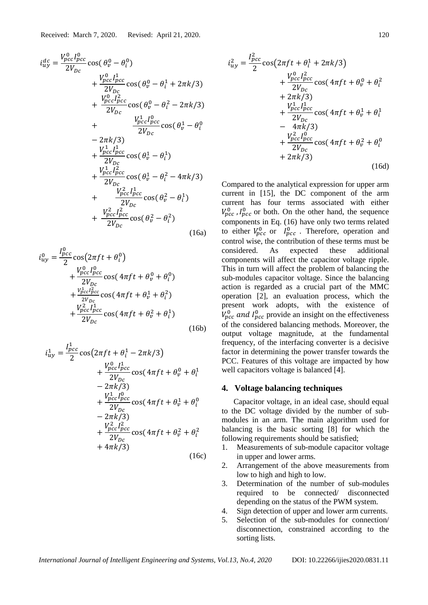$$
i_{uy}^{dc} = \frac{V_{pcc}^{0}l_{pcc}^{0}}{2V_{Dc}} \cos(\theta_v^0 - \theta_i^0)
$$
  
+ 
$$
\frac{V_{pcc}^{0}l_{pcc}^{1}}{2V_{Dc}} \cos(\theta_v^0 - \theta_i^1 + 2\pi k/3)
$$
  
+ 
$$
\frac{V_{pcc}^{0}l_{pcc}^{2}}{2V_{Dc}} \cos(\theta_v^0 - \theta_i^2 - 2\pi k/3)
$$
  
+ 
$$
\frac{V_{pcc}^{1}l_{pcc}^{0}}{2V_{Dc}} \cos(\theta_v^1 - \theta_i^0)
$$
  
- 
$$
2\pi k/3
$$
  
+ 
$$
\frac{V_{pcc}^{1}l_{pcc}^{0}}{2V_{Dc}} \cos(\theta_v^1 - \theta_i^1)
$$
  
+ 
$$
\frac{V_{pcc}^{1}l_{pcc}^{2}}{2V_{Dc}} \cos(\theta_v^1 - \theta_i^2 - 4\pi k/3)
$$
  
+ 
$$
\frac{V_{pcc}^{2}l_{pcc}^{1}}{2V_{Dc}} \cos(\theta_v^2 - \theta_i^1)
$$
  
+ 
$$
\frac{V_{pcc}^{2}l_{pcc}^{1}}{2V_{Dc}} \cos(\theta_v^2 - \theta_i^2)
$$
  
+ 
$$
\frac{V_{pcc}^{2}l_{pcc}^{2}}{2V_{Dc}} \cos(\theta_v^2 - \theta_i^2)
$$
(16a)

$$
i_{uy}^{0} = \frac{I_{pcc}^{0}}{2} \cos(2\pi ft + \theta_i^{0})
$$
  
+ 
$$
\frac{V_{pcc}^{0} I_{pcc}^{0}}{2V_{Dc}} \cos(4\pi ft + \theta_v^{0} + \theta_i^{0})
$$
  
+ 
$$
\frac{V_{pcc}^{1} I_{pcc}^{2}}{2V_{Dc}} \cos(4\pi ft + \theta_v^{1} + \theta_i^{2})
$$
  
+ 
$$
\frac{V_{pcc}^{2} I_{pcc}^{1}}{2V_{Dc}} \cos(4\pi ft + \theta_v^{2} + \theta_i^{1})
$$
(16b)

$$
i_{uy}^{1} = \frac{I_{pcc}^{1}}{2} \cos(2\pi ft + \theta_{i}^{1} - 2\pi k/3) + \frac{V_{pcc}^{0} I_{pcc}^{1}}{2V_{Dc}} \cos(4\pi ft + \theta_{v}^{0} + \theta_{i}^{1} - 2\pi k/3) + \frac{V_{pcc}^{1} I_{pcc}^{0}}{2V_{Dc}} \cos(4\pi ft + \theta_{v}^{1} + \theta_{i}^{0} - 2\pi k/3) + \frac{V_{pcc}^{2} I_{pcc}^{2}}{2V_{Dc}} \cos(4\pi ft + \theta_{v}^{2} + \theta_{i}^{2} + 4\pi k/3)
$$
 (16c)

$$
i_{uy}^2 = \frac{I_{pcc}^2}{2} \cos(2\pi ft + \theta_i^1 + 2\pi k/3) + \frac{V_{pcc}^0 I_{pcc}^2}{2V_{Dc}} \cos(4\pi ft + \theta_v^0 + \theta_i^2) + 2\pi k/3) + \frac{V_{pcc}^1 I_{pcc}^1}{2V_{Dc}} \cos(4\pi ft + \theta_v^1 + \theta_i^1) - 4\pi k/3) + \frac{V_{pcc}^2 I_{pcc}^0}{2V_{Dc}} \cos(4\pi ft + \theta_v^2 + \theta_i^0) + 2\pi k/3)
$$
 (16d)

Compared to the analytical expression for upper arm current in [15], the DC component of the arm current has four terms associated with either  $V_{pcc}^0$ ,  $I_{pcc}^0$  or both. On the other hand, the sequence components in Eq. (16) have only two terms related to either  $V_{pcc}^0$  or  $I_{pcc}^0$ . Therefore, operation and control wise, the contribution of these terms must be considered. As expected these additional components will affect the capacitor voltage ripple. This in turn will affect the problem of balancing the sub-modules capacitor voltage. Since the balancing action is regarded as a crucial part of the MMC operation [2], an evaluation process, which the present work adopts, with the existence of  $V_{pcc}^0$  and  $I_{pcc}^0$  provide an insight on the effectiveness of the considered balancing methods. Moreover, the output voltage magnitude, at the fundamental frequency, of the interfacing converter is a decisive factor in determining the power transfer towards the PCC. Features of this voltage are impacted by how well capacitors voltage is balanced [4].

#### **4. Voltage balancing techniques**

Capacitor voltage, in an ideal case, should equal to the DC voltage divided by the number of submodules in an arm. The main algorithm used for balancing is the basic sorting [8] for which the following requirements should be satisfied;

- 1. Measurements of sub-module capacitor voltage in upper and lower arms.
- 2. Arrangement of the above measurements from low to high and high to low.
- 3. Determination of the number of sub-modules required to be connected/ disconnected depending on the status of the PWM system.
- 4. Sign detection of upper and lower arm currents.
- 5. Selection of the sub-modules for connection/ disconnection, constrained according to the sorting lists.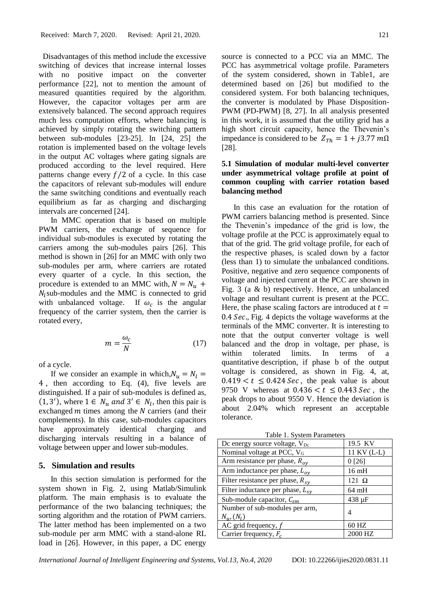Disadvantages of this method include the excessive switching of devices that increase internal losses with no positive impact on the converter performance [22], not to mention the amount of measured quantities required by the algorithm. However, the capacitor voltages per arm are extensively balanced. The second approach requires much less computation efforts, where balancing is achieved by simply rotating the switching pattern between sub-modules [23-25]. In [24, 25] the rotation is implemented based on the voltage levels in the output AC voltages where gating signals are produced according to the level required. Here patterns change every  $f/2$  of a cycle. In this case the capacitors of relevant sub-modules will endure the same switching conditions and eventually reach equilibrium as far as charging and discharging intervals are concerned [24].

In MMC operation that is based on multiple PWM carriers, the exchange of sequence for individual sub-modules is executed by rotating the carriers among the sub-modules pairs [26]. This method is shown in [26] for an MMC with only two sub-modules per arm, where carriers are rotated every quarter of a cycle. In this section, the procedure is extended to an MMC with,  $N = N_u$  +  $N_l$ sub-modules and the MMC is connected to grid with unbalanced voltage. If  $\omega_c$  is the angular frequency of the carrier system, then the carrier is rotated every,

$$
m = \frac{\omega_c}{N} \tag{17}
$$

of a cycle.

If we consider an example in which,  $N_u = N_l$  = 4 , then according to Eq. (4), five levels are distinguished. If a pair of sub-modules is defined as,  $(1, 3')$ , where  $1 \in N_u$  and  $3' \in N_l$ , then this pair is exchanged  $m$  times among the  $N$  carriers (and their complements). In this case, sub-modules capacitors have approximately identical charging and discharging intervals resulting in a balance of voltage between upper and lower sub-modules.

#### **5. Simulation and results**

In this section simulation is performed for the system shown in Fig. 2, using Matlab/Simulink platform. The main emphasis is to evaluate the performance of the two balancing techniques; the sorting algorithm and the rotation of PWM carriers. The latter method has been implemented on a two sub-module per arm MMC with a stand-alone RL load in [26]. However, in this paper, a DC energy

source is connected to a PCC via an MMC. The PCC has asymmetrical voltage profile. Parameters of the system considered, shown in Table1, are determined based on [26] but modified to the considered system. For both balancing techniques, the converter is modulated by Phase Disposition-PWM (PD-PWM) [8, 27]. In all analysis presented in this work, it is assumed that the utility grid has a high short circuit capacity, hence the Thevenin's impedance is considered to be  $Z_{Th} = 1 + j3.77$   $m\Omega$ [28].

## **5.1 Simulation of modular multi-level converter under asymmetrical voltage profile at point of common coupling with carrier rotation based balancing method**

In this case an evaluation for the rotation of PWM carriers balancing method is presented. Since the Thevenin's impedance of the grid is low, the voltage profile at the PCC is approximately equal to that of the grid. The grid voltage profile, for each of the respective phases, is scaled down by a factor (less than 1) to simulate the unbalanced conditions. Positive, negative and zero sequence components of voltage and injected current at the PCC are shown in Fig. 3 (a & b) respectively. Hence, an unbalanced voltage and resultant current is present at the PCC. Here, the phase scaling factors are introduced at  $t =$ 0.4  $Sec.$ , Fig. 4 depicts the voltage waveforms at the terminals of the MMC converter. It is interesting to note that the output converter voltage is well balanced and the drop in voltage, per phase, is within tolerated limits. In terms of a quantitative description, if phase b of the output voltage is considered, as shown in Fig. 4, at,  $0.419 < t \leq 0.424$  Sec, the peak value is about 9750 V whereas at  $0.436 < t \leq 0.443$  Sec, the peak drops to about 9550 V. Hence the deviation is about 2.04% which represent an acceptable tolerance.

Table 1. System Parameters

| Dc energy source voltage, V <sub>Dc</sub>         | 19.5 KV      |
|---------------------------------------------------|--------------|
| Nominal voltage at PCC, V <sub>G</sub>            | 11 KV (L-L)  |
| Arm resistance per phase, $R_{oy}$                | 0[26]        |
| Arm inductance per phase, $L_{ov}$                | $16$ mH      |
| Filter resistance per phase, $R_{sv}$             | $121 \Omega$ |
| Filter inductance per phase, $L_{sv}$             | $64$ mH      |
| Sub-module capacitor, $C_{sm}$                    | 438 µF       |
| Number of sub-modules per arm,<br>$N_u$ , $(N_l)$ | 4            |
| AC grid frequency, $f$                            | 60 HZ        |
| Carrier frequency, $F_c$                          | 2000 HZ      |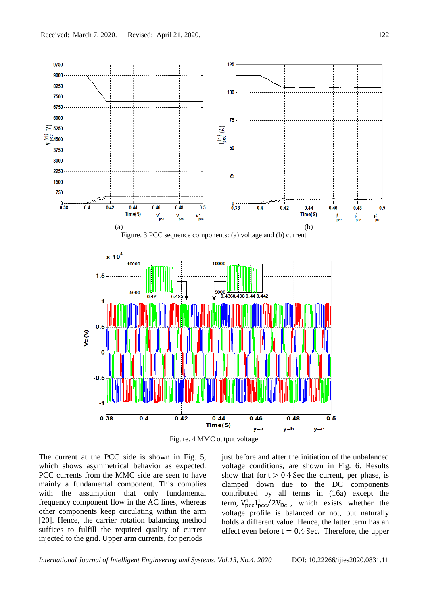

Figure. 4 MMC output voltage

The current at the PCC side is shown in Fig. 5, which shows asymmetrical behavior as expected. PCC currents from the MMC side are seen to have mainly a fundamental component. This complies with the assumption that only fundamental frequency component flow in the AC lines, whereas other components keep circulating within the arm [20]. Hence, the carrier rotation balancing method suffices to fulfill the required quality of current injected to the grid. Upper arm currents, for periods

just before and after the initiation of the unbalanced voltage conditions, are shown in Fig. 6. Results show that for  $t > 0.4$  Sec the current, per phase, is clamped down due to the DC components contributed by all terms in (16a) except the term,  $V_{\text{pcc}}^1 I_{\text{pcc}}^1 / 2V_{\text{Dc}}$ , which exists whether the voltage profile is balanced or not, but naturally holds a different value. Hence, the latter term has an effect even before  $t = 0.4$  Sec. Therefore, the upper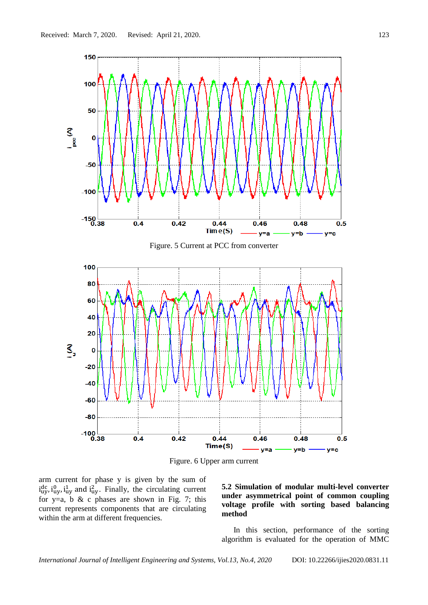

Figure. 6 Upper arm current

arm current for phase y is given by the sum of  $i_{uy}^{dc}$ ,  $i_{uy}^{0}$ ,  $i_{uy}^{1}$  and  $i_{uy}^{2}$ . Finally, the circulating current for y=a, b & c phases are shown in Fig. 7; this current represents components that are circulating within the arm at different frequencies.

**5.2 Simulation of modular multi-level converter under asymmetrical point of common coupling voltage profile with sorting based balancing method** 

In this section, performance of the sorting algorithm is evaluated for the operation of MMC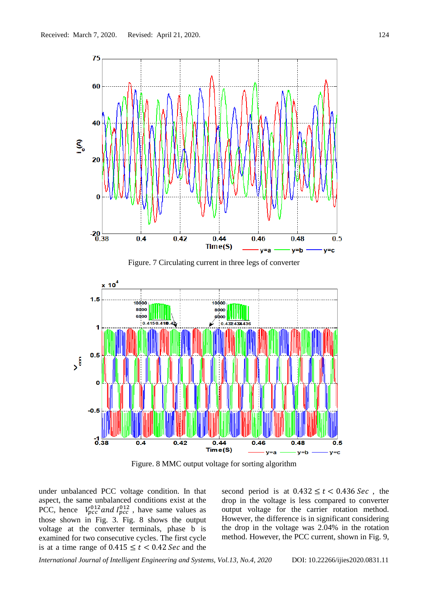

Figure. 8 MMC output voltage for sorting algorithm

under unbalanced PCC voltage condition. In that aspect, the same unbalanced conditions exist at the PCC, hence  $V_{pcc}^{012}$  and  $I_{pcc}^{012}$ , have same values as those shown in Fig. 3. Fig. 8 shows the output voltage at the converter terminals, phase b is examined for two consecutive cycles. The first cycle is at a time range of  $0.415 \le t < 0.42$  Sec and the

second period is at  $0.432 \le t < 0.436$  Sec, the drop in the voltage is less compared to converter output voltage for the carrier rotation method. However, the difference is in significant considering the drop in the voltage was 2.04% in the rotation method. However, the PCC current, shown in Fig. 9,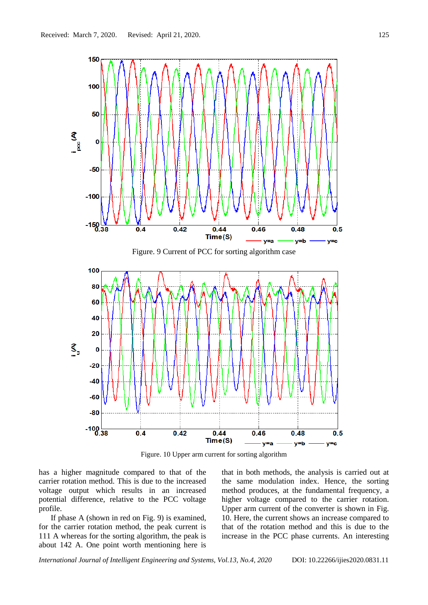

Figure. 10 Upper arm current for sorting algorithm

has a higher magnitude compared to that of the carrier rotation method. This is due to the increased voltage output which results in an increased potential difference, relative to the PCC voltage profile.

If phase A (shown in red on Fig. 9) is examined, for the carrier rotation method, the peak current is 111 A whereas for the sorting algorithm, the peak is about 142 A. One point worth mentioning here is that in both methods, the analysis is carried out at the same modulation index. Hence, the sorting method produces, at the fundamental frequency, a higher voltage compared to the carrier rotation. Upper arm current of the converter is shown in Fig. 10. Here, the current shows an increase compared to that of the rotation method and this is due to the increase in the PCC phase currents. An interesting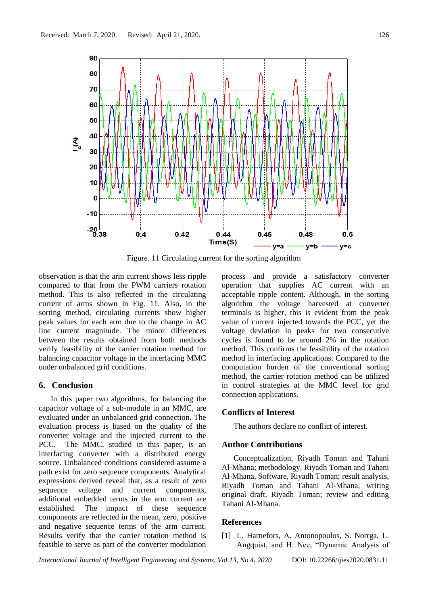

Figure. 11 Circulating current for the sorting algorithm

observation is that the arm current shows less ripple compared to that from the PWM carriers rotation method. This is also reflected in the circulating current of arms shown in Fig. 11. Also, in the sorting method, circulating currents show higher peak values for each arm due to the change in AC line current magnitude. The minor differences between the results obtained from both methods verify feasibility of the carrier rotation method for balancing capacitor voltage in the interfacing MMC under unbalanced grid conditions.

## **6. Conclusion**

In this paper two algorithms, for balancing the capacitor voltage of a sub-module in an MMC, are evaluated under an unbalanced grid connection. The evaluation process is based on the quality of the converter voltage and the injected current to the PCC. The MMC, studied in this paper, is an interfacing converter with a distributed energy source. Unbalanced conditions considered assume a path exist for zero sequence components. Analytical expressions derived reveal that, as a result of zero sequence voltage and current components, additional embedded terms in the arm current are established. The impact of these sequence components are reflected in the mean, zero, positive and negative sequence terms of the arm current. Results verify that the carrier rotation method is feasible to serve as part of the converter modulation

process and provide a satisfactory converter operation that supplies AC current with an acceptable ripple content. Although, in the sorting algorithm the voltage harvested at converter terminals is higher, this is evident from the peak value of current injected towards the PCC, yet the voltage deviation in peaks for two consecutive cycles is found to be around 2% in the rotation method. This confirms the feasibility of the rotation method in interfacing applications. Compared to the computation burden of the conventional sorting method, the carrier rotation method can be utilized in control strategies at the MMC level for grid connection applications.

### **Conflicts of Interest**

The authors declare no conflict of interest.

## **Author Contributions**

Conceptualization, Riyadh Toman and Tahani Al-Mhana; methodology, Riyadh Toman and Tahani Al-Mhana, Software, Riyadh Toman; result analysis, Riyadh Toman and Tahani Al-Mhana, writing original draft, Riyadh Toman; review and editing Tahani Al-Mhana.

#### **References**

[1] L. Harnefors, A. Antonopoulos, S. Norrga, L. Angquist, and H. Nee, "Dynamic Analysis of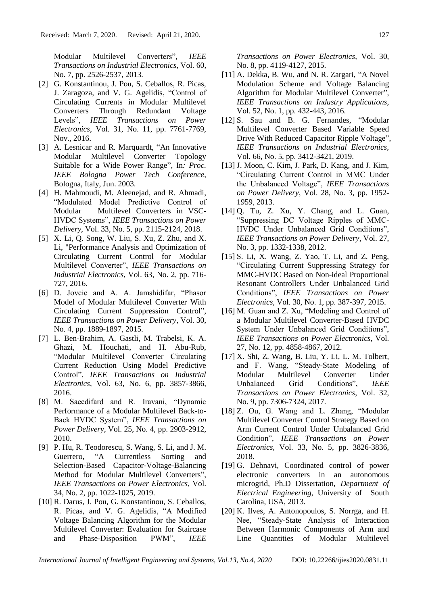Modular Multilevel Converters", *IEEE Transactions on Industrial Electronics*, Vol. 60, No. 7, pp. 2526-2537, 2013.

- [2] G. Konstantinou, J. Pou, S. Ceballos, R. Picas, J. Zaragoza, and V. G. Agelidis, "Control of Circulating Currents in Modular Multilevel Converters Through Redundant Voltage Levels", *IEEE Transactions on Power Electronics*, Vol. 31, No. 11, pp. 7761-7769, Nov., 2016.
- [3] A. Lesnicar and R. Marquardt, "An Innovative Modular Multilevel Converter Topology Suitable for a Wide Power Range", In*: Proc. IEEE Bologna Power Tech Conference*, Bologna, Italy, Jun. 2003.
- [4] H. Mahmoudi, M. Aleenejad, and R. Ahmadi, "Modulated Model Predictive Control of Modular Multilevel Converters in VSC-HVDC Systems", *IEEE Transactions on Power Delivery*, Vol. 33, No. 5, pp. 2115-2124, 2018.
- [5] X. Li, Q. Song, W. Liu, S. Xu, Z. Zhu, and X. Li, "Performance Analysis and Optimization of Circulating Current Control for Modular Multilevel Converter", *IEEE Transactions on Industrial Electronics*, Vol. 63, No. 2, pp. 716- 727, 2016.
- [6] D. Jovcic and A. A. Jamshidifar, "Phasor Model of Modular Multilevel Converter With Circulating Current Suppression Control", *IEEE Transactions on Power Delivery*, Vol. 30, No. 4, pp. 1889-1897, 2015.
- [7] L. Ben-Brahim, A. Gastli, M. Trabelsi, K. A. Ghazi, M. Houchati, and H. Abu-Rub, "Modular Multilevel Converter Circulating Current Reduction Using Model Predictive Control", *IEEE Transactions on Industrial Electronics*, Vol. 63, No. 6, pp. 3857-3866, 2016.
- [8] M. Saeedifard and R. Iravani, "Dynamic Performance of a Modular Multilevel Back-to-Back HVDC System", *IEEE Transactions on Power Delivery*, Vol. 25, No. 4, pp. 2903-2912, 2010.
- [9] P. Hu, R. Teodorescu, S. Wang, S. Li, and J. M. Guerrero, "A Currentless Sorting and Selection-Based Capacitor-Voltage-Balancing Method for Modular Multilevel Converters", *IEEE Transactions on Power Electronics*, Vol. 34, No. 2, pp. 1022-1025, 2019.
- [10] R. Darus, J. Pou, G. Konstantinou, S. Ceballos, R. Picas, and V. G. Agelidis, "A Modified Voltage Balancing Algorithm for the Modular Multilevel Converter: Evaluation for Staircase and Phase-Disposition PWM", *IEEE*

*Transactions on Power Electronics*, Vol. 30, No. 8, pp. 4119-4127, 2015.

- [11] A. Dekka, B. Wu, and N. R. Zargari, "A Novel Modulation Scheme and Voltage Balancing Algorithm for Modular Multilevel Converter", *IEEE Transactions on Industry Applications*, Vol. 52, No. 1, pp. 432-443, 2016.
- [12] S. Sau and B. G. Fernandes, "Modular Multilevel Converter Based Variable Speed Drive With Reduced Capacitor Ripple Voltage", *IEEE Transactions on Industrial Electronics,* Vol. 66, No. 5, pp. 3412-3421, 2019.
- [13] J. Moon, C. Kim, J. Park, D. Kang, and J. Kim, "Circulating Current Control in MMC Under the Unbalanced Voltage", *IEEE Transactions on Power Delivery*, Vol. 28, No. 3, pp. 1952- 1959, 2013.
- [14] Q. Tu, Z. Xu, Y. Chang, and L. Guan, "Suppressing DC Voltage Ripples of MMC-HVDC Under Unbalanced Grid Conditions", *IEEE Transactions on Power Delivery*, Vol. 27, No. 3, pp. 1332-1338, 2012.
- [15] S. Li, X. Wang, Z. Yao, T. Li, and Z. Peng, "Circulating Current Suppressing Strategy for MMC-HVDC Based on Non-ideal Proportional Resonant Controllers Under Unbalanced Grid Conditions", *IEEE Transactions on Power Electronics*, Vol. 30, No. 1, pp. 387-397, 2015.
- [16] M. Guan and Z. Xu, "Modeling and Control of a Modular Multilevel Converter-Based HVDC System Under Unbalanced Grid Conditions", *IEEE Transactions on Power Electronics*, Vol. 27, No. 12, pp. 4858-4867, 2012.
- [17] X. Shi, Z. Wang, B. Liu, Y. Li, L. M. Tolbert, and F. Wang, "Steady-State Modeling of Modular Multilevel Converter Under Unbalanced Grid Conditions", *IEEE Transactions on Power Electronics*, Vol. 32, No. 9, pp. 7306-7324, 2017.
- [18] Z. Ou, G. Wang and L. Zhang, "Modular Multilevel Converter Control Strategy Based on Arm Current Control Under Unbalanced Grid Condition", *IEEE Transactions on Power Electronics*, Vol. 33, No. 5, pp. 3826-3836, 2018.
- [19] G. Dehnavi, Coordinated control of power electronic converters in an autonomous microgrid, Ph.D Dissertation, *Department of Electrical Engineering*, University of South Carolina, USA, 2013.
- [20] K. Ilves, A. Antonopoulos, S. Norrga, and H. Nee, "Steady-State Analysis of Interaction Between Harmonic Components of Arm and Line Quantities of Modular Multilevel